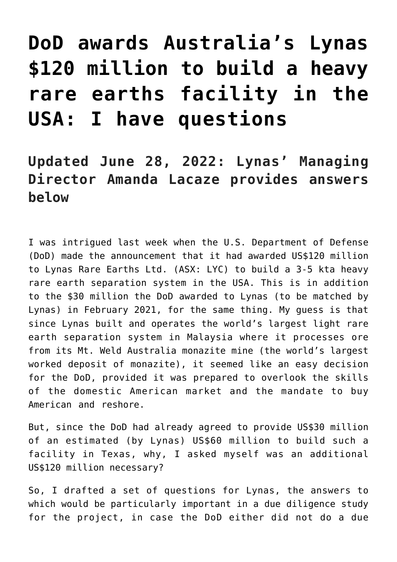# **[DoD awards Australia's Lynas](https://investorintel.com/markets/technology-metals/technology-metals-intel/dod-awards-australias-lynas-120-million-to-build-a-heavy-rare-earths-facility-in-the-usa-i-have-questions/) [\\$120 million to build a heavy](https://investorintel.com/markets/technology-metals/technology-metals-intel/dod-awards-australias-lynas-120-million-to-build-a-heavy-rare-earths-facility-in-the-usa-i-have-questions/) [rare earths facility in the](https://investorintel.com/markets/technology-metals/technology-metals-intel/dod-awards-australias-lynas-120-million-to-build-a-heavy-rare-earths-facility-in-the-usa-i-have-questions/) [USA: I have questions](https://investorintel.com/markets/technology-metals/technology-metals-intel/dod-awards-australias-lynas-120-million-to-build-a-heavy-rare-earths-facility-in-the-usa-i-have-questions/)**

# **Updated June 28, 2022: Lynas' Managing Director Amanda Lacaze provides answers below**

I was intrigued last week when the U.S. Department of Defense (DoD) made [the announcement](https://wcsecure.weblink.com.au/pdf/LYC/02531153.pdf) that it had awarded US\$120 million to [Lynas Rare Earths Ltd.](https://lynasrareearths.com/) (ASX: LYC) to build a 3-5 kta heavy rare earth separation system in the USA. This is in addition to the \$30 million the DoD awarded to Lynas (to be matched by Lynas) in February 2021, for the same thing. My guess is that since Lynas built and operates the world's largest light rare earth separation system in Malaysia where it processes ore from its Mt. Weld Australia monazite mine (the world's largest worked deposit of monazite), it seemed like an easy decision for the DoD, provided it was prepared to overlook the skills of the domestic American market and the mandate to buy American and reshore.

But, since the DoD had already agreed to provide US\$30 million of an estimated (by Lynas) US\$60 million to build such a facility in Texas, why, I asked myself was an additional US\$120 million necessary?

So, I drafted a set of questions for Lynas, the answers to which would be particularly important in a due diligence study for the project, in case the DoD either did not do a due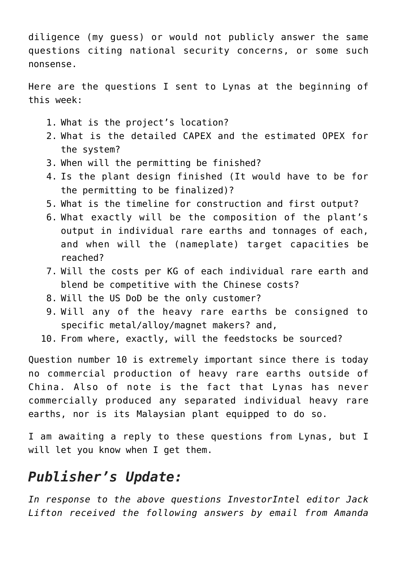diligence (my guess) or would not publicly answer the same questions citing national security concerns, or some such nonsense.

Here are the questions I sent to Lynas at the beginning of this week:

- 1. What is the project's location?
- 2. What is the detailed CAPEX and the estimated OPEX for the system?
- 3. When will the permitting be finished?
- 4. Is the plant design finished (It would have to be for the permitting to be finalized)?
- 5. What is the timeline for construction and first output?
- 6. What exactly will be the composition of the plant's output in individual rare earths and tonnages of each, and when will the (nameplate) target capacities be reached?
- 7. Will the costs per KG of each individual rare earth and blend be competitive with the Chinese costs?
- 8. Will the US DoD be the only customer?
- 9. Will any of the heavy rare earths be consigned to specific metal/alloy/magnet makers? and,
- 10. From where, exactly, will the feedstocks be sourced?

Question number 10 is extremely important since there is today no commercial production of heavy rare earths outside of China. Also of note is the fact that Lynas has never commercially produced any separated individual heavy rare earths, nor is its Malaysian plant equipped to do so.

I am awaiting a reply to these questions from Lynas, but I will let you know when I get them.

# *Publisher's Update:*

*In response to the above questions InvestorIntel editor Jack Lifton received the following answers by email from Amanda*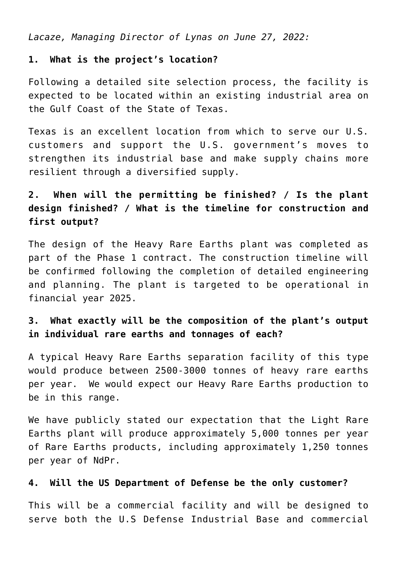*Lacaze, Managing Director of Lynas on June 27, 2022:*

#### **1. What is the project's location?**

Following a detailed site selection process, the facility is expected to be located within an existing industrial area on the Gulf Coast of the State of Texas.

Texas is an excellent location from which to serve our U.S. customers and support the U.S. government's moves to strengthen its industrial base and make supply chains more resilient through a diversified supply.

## **2. When will the permitting be finished? / Is the plant design finished? / What is the timeline for construction and first output?**

The design of the Heavy Rare Earths plant was completed as part of the Phase 1 contract. The construction timeline will be confirmed following the completion of detailed engineering and planning. The plant is targeted to be operational in financial year 2025.

### **3. What exactly will be the composition of the plant's output in individual rare earths and tonnages of each?**

A typical Heavy Rare Earths separation facility of this type would produce between 2500-3000 tonnes of heavy rare earths per year. We would expect our Heavy Rare Earths production to be in this range.

We have publicly stated our expectation that the Light Rare Earths plant will produce approximately 5,000 tonnes per year of Rare Earths products, including approximately 1,250 tonnes per year of NdPr.

#### **4. Will the US Department of Defense be the only customer?**

This will be a commercial facility and will be designed to serve both the U.S Defense Industrial Base and commercial